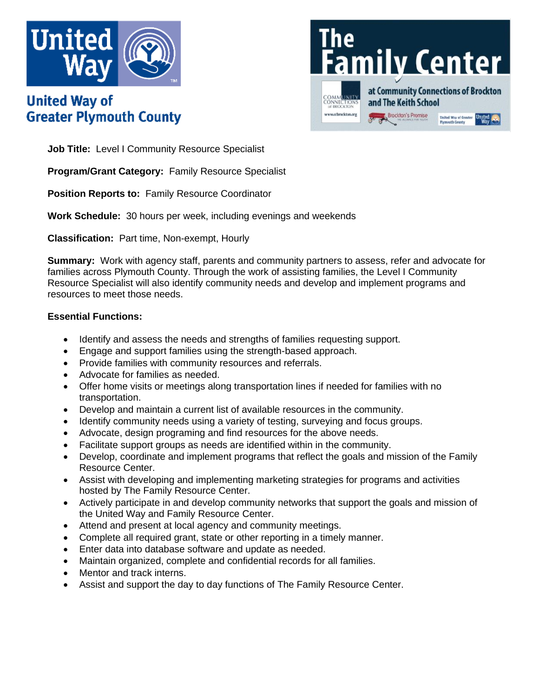

# **United Way of Greater Plymouth County**



**Job Title:** Level I Community Resource Specialist

**Program/Grant Category:** Family Resource Specialist

**Position Reports to:** Family Resource Coordinator

**Work Schedule:** 30 hours per week, including evenings and weekends

**Classification:** Part time, Non-exempt, Hourly

**Summary:** Work with agency staff, parents and community partners to assess, refer and advocate for families across Plymouth County. Through the work of assisting families, the Level I Community Resource Specialist will also identify community needs and develop and implement programs and resources to meet those needs.

## **Essential Functions:**

- Identify and assess the needs and strengths of families requesting support.
- Engage and support families using the strength-based approach.
- Provide families with community resources and referrals.
- Advocate for families as needed.
- Offer home visits or meetings along transportation lines if needed for families with no transportation.
- Develop and maintain a current list of available resources in the community.
- Identify community needs using a variety of testing, surveying and focus groups.
- Advocate, design programing and find resources for the above needs.
- Facilitate support groups as needs are identified within in the community.
- Develop, coordinate and implement programs that reflect the goals and mission of the Family Resource Center.
- Assist with developing and implementing marketing strategies for programs and activities hosted by The Family Resource Center.
- Actively participate in and develop community networks that support the goals and mission of the United Way and Family Resource Center.
- Attend and present at local agency and community meetings.
- Complete all required grant, state or other reporting in a timely manner.
- Enter data into database software and update as needed.
- Maintain organized, complete and confidential records for all families.
- Mentor and track interns.
- Assist and support the day to day functions of The Family Resource Center.